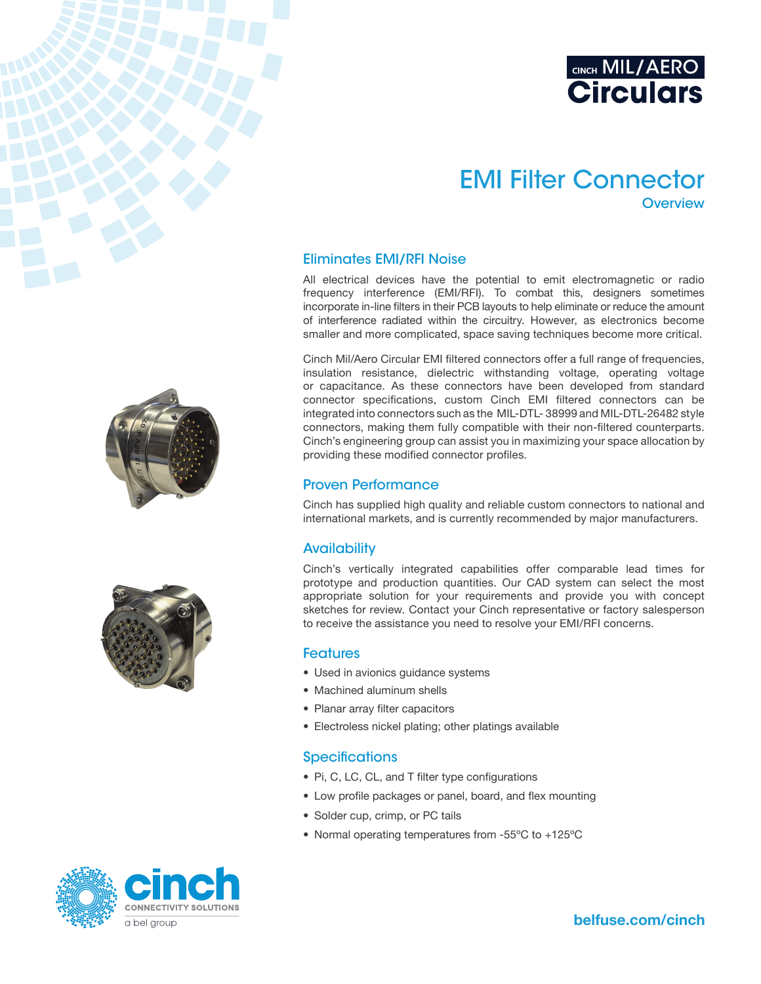

# EMI Filter Connector **Overview**

#### Eliminates EMI/RFI Noise

All electrical devices have the potential to emit electromagnetic or radio frequency interference (EMI/RFI). To combat this, designers sometimes incorporate in-line filters in their PCB layouts to help eliminate or reduce the amount of interference radiated within the circuitry. However, as electronics become smaller and more complicated, space saving techniques become more critical.

Cinch Mil/Aero Circular EMI filtered connectors offer a full range of frequencies, insulation resistance, dielectric withstanding voltage, operating voltage or capacitance. As these connectors have been developed from standard connector specifications, custom Cinch EMI filtered connectors can be integrated into connectors such as the MIL-DTL- 38999 and MIL-DTL-26482 style connectors, making them fully compatible with their non-filtered counterparts. Cinch's engineering group can assist you in maximizing your space allocation by providing these modified connector profiles.

#### Proven Performance

Cinch has supplied high quality and reliable custom connectors to national and international markets, and is currently recommended by major manufacturers.

### **Availability**

Cinch's vertically integrated capabilities offer comparable lead times for prototype and production quantities. Our CAD system can select the most appropriate solution for your requirements and provide you with concept sketches for review. Contact your Cinch representative or factory salesperson to receive the assistance you need to resolve your EMI/RFI concerns.

#### **Features**

- Used in avionics quidance systems
- Machined aluminum shells
- Planar array filter capacitors
- Electroless nickel plating; other platings available

#### **Specifications**

- Pi, C, LC, CL, and T filter type configurations
- Low profile packages or panel, board, and flex mounting
- Solder cup, crimp, or PC tails
- Normal operating temperatures from -55ºC to +125ºC